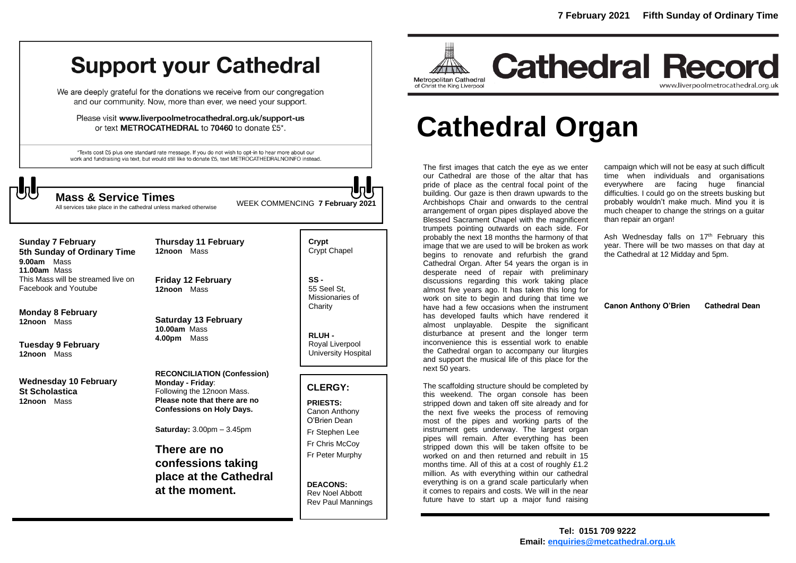## **Support your Cathedral**

We are deeply grateful for the donations we receive from our congregation and our community. Now, more than ever, we need your support.

Please visit www.liverpoolmetrocathedral.org.uk/support-us or text METROCATHEDRAL to 70460 to donate £5\*.

\*Texts cost £5 plus one standard rate message. If you do not wish to opt-in to hear more about our work and fundraising via text, but would still like to donate £5, text METROCATHEDRALNOINFO instead.

WEEK COMMENCING **7 February 2021 Mass & Service Times**

All services take place in the cathedral unless marked otherwise

**Sunday 7 February 5th Sunday of Ordinary Time 9.00am** Mass **11.00am** Mass This Mass will be streamed live on Facebook and Youtube

**Monday 8 February 12noon** Mass

**Tuesday 9 February 12noon** Mass

**Wednesday 10 February St Scholastica 12noon** Mass

**Friday 12 February 12noon** Mass

**Thursday 11 February**

**12noon** Mass

**Saturday 13 February 10.00am** Mass **4.00pm** Mass

**RECONCILIATION (Confession) Monday - Friday**: Following the 12noon Mass. **Please note that there are no Confessions on Holy Days.**

**Saturday:** 3.00pm – 3.45pm

**There are no confessions taking place at the Cathedral at the moment.**

**Crypt**  Crypt Chapel

**SS -** 55 Seel St, Missionaries of **Charity** 

**RLUH -** Royal Liverpool University Hospital

#### **CLERGY:**

**PRIESTS:** Canon Anthony O'Brien *Dean* Fr Stephen Lee Fr Chris McCoy Fr Peter Murphy

**DEACONS:** Rev Noel Abbott Rev Paul Mannings



## **Cathedral Record** www.liverpoolmetrocathedral.org.uk

# **Cathedral Organ**

The first images that catch the eye as we enter our Cathedral are those of the altar that has pride of place as the central focal point of the building. Our gaze is then drawn upwards to the Archbishops Chair and onwards to the central arrangement of organ pipes displayed above the Blessed Sacrament Chapel with the magnificent trumpets pointing outwards on each side. For probably the next 18 months the harmony of that image that we are used to will be broken as work begins to renovate and refurbish the grand Cathedral Organ. After 54 years the organ is in desperate need of repair with preliminary discussions regarding this work taking place almost five years ago. It has taken this long for work on site to begin and during that time we have had a few occasions when the instrument has developed faults which have rendered it almost unplayable. Despite the significant disturbance at present and the longer term inconvenience this is essential work to enable the Cathedral organ to accompany our liturgies and support the musical life of this place for the next 50 years.

The scaffolding structure should be completed by this weekend. The organ console has been stripped down and taken off site already and for the next five weeks the process of removing most of the pipes and working parts of the instrument gets underway. The largest organ pipes will remain. After everything has been stripped down this will be taken offsite to be worked on and then returned and rebuilt in 15 months time. All of this at a cost of roughly £1.2 million. As with everything within our cathedral everything is on a grand scale particularly when it comes to repairs and costs. We will in the near future have to start up a major fund raising

campaign which will not be easy at such difficult time when individuals and organisations everywhere are facing huge financial difficulties. I could go on the streets busking but probably wouldn't make much. Mind you it is much cheaper to change the strings on a guitar than repair an organ!

Ash Wednesday falls on 17<sup>th</sup> February this year. There will be two masses on that day at the Cathedral at 12 Midday and 5pm.

**Canon Anthony O'Brien Cathedral Dean**